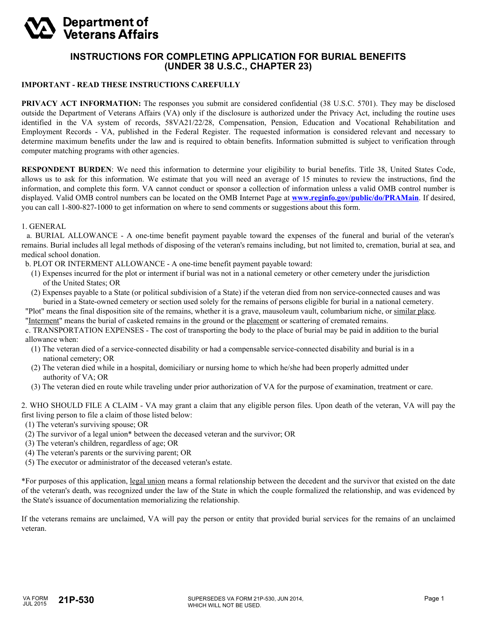## **Department of Veterans Affairs**

## **INSTRUCTIONS FOR COMPLETING APPLICATION FOR BURIAL BENEFITS (UNDER 38 U.S.C., CHAPTER 23)**

## **IMPORTANT - READ THESE INSTRUCTIONS CAREFULLY**

**PRIVACY ACT INFORMATION:** The responses you submit are considered confidential (38 U.S.C. 5701). They may be disclosed outside the Department of Veterans Affairs (VA) only if the disclosure is authorized under the Privacy Act, including the routine uses identified in the VA system of records, 58VA21/22/28, Compensation, Pension, Education and Vocational Rehabilitation and Employment Records - VA, published in the Federal Register. The requested information is considered relevant and necessary to determine maximum benefits under the law and is required to obtain benefits. Information submitted is subject to verification through computer matching programs with other agencies.

**RESPONDENT BURDEN**: We need this information to determine your eligibility to burial benefits. Title 38, United States Code, allows us to ask for this information. We estimate that you will need an average of 15 minutes to review the instructions, find the information, and complete this form. VA cannot conduct or sponsor a collection of information unless a valid OMB control number is displayed. Valid OMB control numbers can be located on the OMB Internet Page at **<www.reginfo.gov/public/do/PRAMain>**. If desired, you can call 1-800-827-1000 to get information on where to send comments or suggestions about this form.

## 1. GENERAL

 a. BURIAL ALLOWANCE - A one-time benefit payment payable toward the expenses of the funeral and burial of the veteran's remains. Burial includes all legal methods of disposing of the veteran's remains including, but not limited to, cremation, burial at sea, and medical school donation.

b. PLOT OR INTERMENT ALLOWANCE - A one-time benefit payment payable toward:

- (1) Expenses incurred for the plot or interment if burial was not in a national cemetery or other cemetery under the jurisdiction of the United States; OR
- (2) Expenses payable to a State (or political subdivision of a State) if the veteran died from non service-connected causes and was buried in a State-owned cemetery or section used solely for the remains of persons eligible for burial in a national cemetery.

 "Plot" means the final disposition site of the remains, whether it is a grave, mausoleum vault, columbarium niche, or similar place. "Interment" means the burial of casketed remains in the ground or the placement or scattering of cremated remains.

 c. TRANSPORTATION EXPENSES - The cost of transporting the body to the place of burial may be paid in addition to the burial allowance when:

- (1) The veteran died of a service-connected disability or had a compensable service-connected disability and burial is in a national cemetery; OR
- (2) The veteran died while in a hospital, domiciliary or nursing home to which he/she had been properly admitted under authority of VA; OR
- (3) The veteran died en route while traveling under prior authorization of VA for the purpose of examination, treatment or care.

2. WHO SHOULD FILE A CLAIM - VA may grant a claim that any eligible person files. Upon death of the veteran, VA will pay the first living person to file a claim of those listed below:

- (1) The veteran's surviving spouse; OR
- (2) The survivor of a legal union\* between the deceased veteran and the survivor; OR
- (3) The veteran's children, regardless of age; OR
- (4) The veteran's parents or the surviving parent; OR
- (5) The executor or administrator of the deceased veteran's estate.

\*For purposes of this application, legal union means a formal relationship between the decedent and the survivor that existed on the date of the veteran's death, was recognized under the law of the State in which the couple formalized the relationship, and was evidenced by the State's issuance of documentation memorializing the relationship.

If the veterans remains are unclaimed, VA will pay the person or entity that provided burial services for the remains of an unclaimed veteran.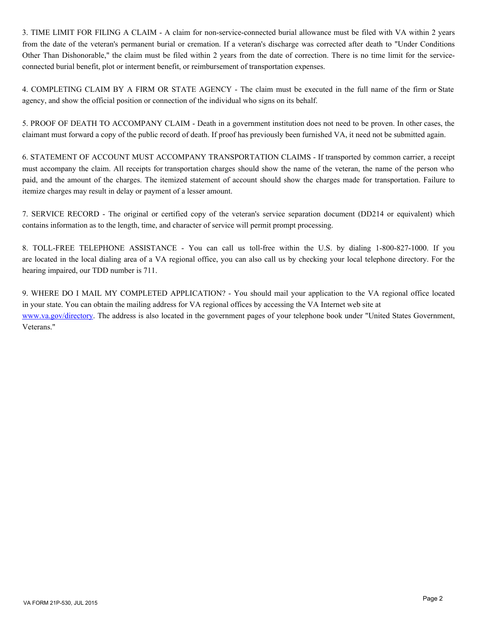3. TIME LIMIT FOR FILING A CLAIM - A claim for non-service-connected burial allowance must be filed with VA within 2 years from the date of the veteran's permanent burial or cremation. If a veteran's discharge was corrected after death to "Under Conditions Other Than Dishonorable," the claim must be filed within 2 years from the date of correction. There is no time limit for the serviceconnected burial benefit, plot or interment benefit, or reimbursement of transportation expenses.

4. COMPLETING CLAIM BY A FIRM OR STATE AGENCY - The claim must be executed in the full name of the firm or State agency, and show the official position or connection of the individual who signs on its behalf.

5. PROOF OF DEATH TO ACCOMPANY CLAIM - Death in a government institution does not need to be proven. In other cases, the claimant must forward a copy of the public record of death. If proof has previously been furnished VA, it need not be submitted again.

6. STATEMENT OF ACCOUNT MUST ACCOMPANY TRANSPORTATION CLAIMS - If transported by common carrier, a receipt must accompany the claim. All receipts for transportation charges should show the name of the veteran, the name of the person who paid, and the amount of the charges. The itemized statement of account should show the charges made for transportation. Failure to itemize charges may result in delay or payment of a lesser amount.

7. SERVICE RECORD - The original or certified copy of the veteran's service separation document (DD214 or equivalent) which contains information as to the length, time, and character of service will permit prompt processing.

8. TOLL-FREE TELEPHONE ASSISTANCE - You can call us toll-free within the U.S. by dialing 1-800-827-1000. If you are located in the local dialing area of a VA regional office, you can also call us by checking your local telephone directory. For the hearing impaired, our TDD number is 711.

9. WHERE DO I MAIL MY COMPLETED APPLICATION? - You should mail your application to the VA regional office located in your state. You can obtain the mailing address for VA regional offices by accessing the VA Internet web site at <www.va.gov/directory>. The address is also located in the government pages of your telephone book under "United States Government, Veterans."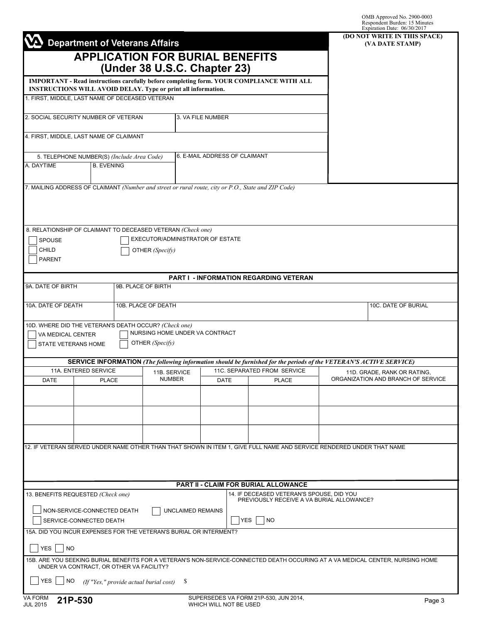|                                                                                                                                                                                                              |                                                                                                                                             |                                                   |                               |                                                                                        |  | OMB Approved No. 2900-0003<br>Respondent Burden: 15 Minutes<br>Expiration Date: 06/30/2017                                     |  |
|--------------------------------------------------------------------------------------------------------------------------------------------------------------------------------------------------------------|---------------------------------------------------------------------------------------------------------------------------------------------|---------------------------------------------------|-------------------------------|----------------------------------------------------------------------------------------|--|--------------------------------------------------------------------------------------------------------------------------------|--|
|                                                                                                                                                                                                              | <b>Department of Veterans Affairs</b>                                                                                                       |                                                   |                               |                                                                                        |  | (DO NOT WRITE IN THIS SPACE)                                                                                                   |  |
|                                                                                                                                                                                                              |                                                                                                                                             |                                                   |                               |                                                                                        |  | (VA DATE STAMP)                                                                                                                |  |
|                                                                                                                                                                                                              | <b>APPLICATION FOR BURIAL BENEFITS</b>                                                                                                      | (Under 38 U.S.C. Chapter 23)                      |                               |                                                                                        |  |                                                                                                                                |  |
|                                                                                                                                                                                                              |                                                                                                                                             |                                                   |                               |                                                                                        |  |                                                                                                                                |  |
| IMPORTANT - Read instructions carefully before completing form. YOUR COMPLIANCE WITH ALL<br>INSTRUCTIONS WILL AVOID DELAY. Type or print all information.<br>1. FIRST, MIDDLE, LAST NAME OF DECEASED VETERAN |                                                                                                                                             |                                                   |                               |                                                                                        |  |                                                                                                                                |  |
|                                                                                                                                                                                                              |                                                                                                                                             |                                                   |                               |                                                                                        |  |                                                                                                                                |  |
|                                                                                                                                                                                                              | 2. SOCIAL SECURITY NUMBER OF VETERAN                                                                                                        |                                                   | 3. VA FILE NUMBER             |                                                                                        |  |                                                                                                                                |  |
|                                                                                                                                                                                                              | 4. FIRST, MIDDLE, LAST NAME OF CLAIMANT                                                                                                     |                                                   |                               |                                                                                        |  |                                                                                                                                |  |
|                                                                                                                                                                                                              |                                                                                                                                             |                                                   |                               |                                                                                        |  |                                                                                                                                |  |
| 5. TELEPHONE NUMBER(S) (Include Area Code)                                                                                                                                                                   |                                                                                                                                             |                                                   | 6. E-MAIL ADDRESS OF CLAIMANT |                                                                                        |  |                                                                                                                                |  |
| A. DAYTIME                                                                                                                                                                                                   | <b>B. EVENING</b>                                                                                                                           |                                                   |                               |                                                                                        |  |                                                                                                                                |  |
|                                                                                                                                                                                                              | 7. MAILING ADDRESS OF CLAIMANT (Number and street or rural route, city or P.O., State and ZIP Code)                                         |                                                   |                               |                                                                                        |  |                                                                                                                                |  |
|                                                                                                                                                                                                              |                                                                                                                                             |                                                   |                               |                                                                                        |  |                                                                                                                                |  |
|                                                                                                                                                                                                              |                                                                                                                                             |                                                   |                               |                                                                                        |  |                                                                                                                                |  |
|                                                                                                                                                                                                              |                                                                                                                                             |                                                   |                               |                                                                                        |  |                                                                                                                                |  |
| SPOUSE                                                                                                                                                                                                       | 8. RELATIONSHIP OF CLAIMANT TO DECEASED VETERAN (Check one)                                                                                 | EXECUTOR/ADMINISTRATOR OF ESTATE                  |                               |                                                                                        |  |                                                                                                                                |  |
| CHILD                                                                                                                                                                                                        |                                                                                                                                             | OTHER (Specify)                                   |                               |                                                                                        |  |                                                                                                                                |  |
| <b>PARENT</b>                                                                                                                                                                                                |                                                                                                                                             |                                                   |                               |                                                                                        |  |                                                                                                                                |  |
|                                                                                                                                                                                                              |                                                                                                                                             |                                                   |                               | <b>PART I - INFORMATION REGARDING VETERAN</b>                                          |  |                                                                                                                                |  |
| 9A. DATE OF BIRTH                                                                                                                                                                                            |                                                                                                                                             | 9B. PLACE OF BIRTH                                |                               |                                                                                        |  |                                                                                                                                |  |
| 10A. DATE OF DEATH                                                                                                                                                                                           |                                                                                                                                             | 10B. PLACE OF DEATH                               |                               |                                                                                        |  | 10C. DATE OF BURIAL                                                                                                            |  |
|                                                                                                                                                                                                              |                                                                                                                                             |                                                   |                               |                                                                                        |  |                                                                                                                                |  |
|                                                                                                                                                                                                              | 10D. WHERE DID THE VETERAN'S DEATH OCCUR? (Check one)                                                                                       |                                                   |                               |                                                                                        |  |                                                                                                                                |  |
| VA MEDICAL CENTER<br>STATE VETERANS HOME                                                                                                                                                                     |                                                                                                                                             | NURSING HOME UNDER VA CONTRACT<br>OTHER (Specify) |                               |                                                                                        |  |                                                                                                                                |  |
|                                                                                                                                                                                                              |                                                                                                                                             |                                                   |                               |                                                                                        |  |                                                                                                                                |  |
|                                                                                                                                                                                                              | SERVICE INFORMATION (The following information should be furnished for the periods of the VETERAN'S ACTIVE SERVICE)<br>11A. ENTERED SERVICE | 11B. SERVICE                                      |                               | 11C. SEPARATED FROM SERVICE                                                            |  | 11D. GRADE, RANK OR RATING,                                                                                                    |  |
| <b>DATE</b>                                                                                                                                                                                                  | <b>PLACE</b>                                                                                                                                | <b>NUMBER</b>                                     | <b>DATE</b>                   | <b>PLACE</b>                                                                           |  | ORGANIZATION AND BRANCH OF SERVICE                                                                                             |  |
|                                                                                                                                                                                                              |                                                                                                                                             |                                                   |                               |                                                                                        |  |                                                                                                                                |  |
|                                                                                                                                                                                                              |                                                                                                                                             |                                                   |                               |                                                                                        |  |                                                                                                                                |  |
|                                                                                                                                                                                                              |                                                                                                                                             |                                                   |                               |                                                                                        |  |                                                                                                                                |  |
|                                                                                                                                                                                                              |                                                                                                                                             |                                                   |                               |                                                                                        |  |                                                                                                                                |  |
|                                                                                                                                                                                                              | 12. IF VETERAN SERVED UNDER NAME OTHER THAN THAT SHOWN IN ITEM 1, GIVE FULL NAME AND SERVICE RENDERED UNDER THAT NAME                       |                                                   |                               |                                                                                        |  |                                                                                                                                |  |
|                                                                                                                                                                                                              |                                                                                                                                             |                                                   |                               |                                                                                        |  |                                                                                                                                |  |
|                                                                                                                                                                                                              |                                                                                                                                             |                                                   |                               |                                                                                        |  |                                                                                                                                |  |
|                                                                                                                                                                                                              |                                                                                                                                             |                                                   |                               | <b>PART II - CLAIM FOR BURIAL ALLOWANCE</b>                                            |  |                                                                                                                                |  |
|                                                                                                                                                                                                              | 13. BENEFITS REQUESTED (Check one)                                                                                                          |                                                   |                               | 14. IF DECEASED VETERAN'S SPOUSE, DID YOU<br>PREVIOUSLY RECEIVE A VA BURIAL ALLOWANCE? |  |                                                                                                                                |  |
|                                                                                                                                                                                                              | NON-SERVICE-CONNECTED DEATH                                                                                                                 | UNCLAIMED REMAINS                                 |                               |                                                                                        |  |                                                                                                                                |  |
|                                                                                                                                                                                                              | SERVICE-CONNECTED DEATH                                                                                                                     |                                                   | <b>YES</b>                    | NO                                                                                     |  |                                                                                                                                |  |
|                                                                                                                                                                                                              | 15A. DID YOU INCUR EXPENSES FOR THE VETERAN'S BURIAL OR INTERMENT?                                                                          |                                                   |                               |                                                                                        |  |                                                                                                                                |  |
| <b>YES</b><br><b>NO</b>                                                                                                                                                                                      |                                                                                                                                             |                                                   |                               |                                                                                        |  |                                                                                                                                |  |
|                                                                                                                                                                                                              | UNDER VA CONTRACT, OR OTHER VA FACILITY?                                                                                                    |                                                   |                               |                                                                                        |  | 15B. ARE YOU SEEKING BURIAL BENEFITS FOR A VETERAN'S NON-SERVICE-CONNECTED DEATH OCCURING AT A VA MEDICAL CENTER, NURSING HOME |  |
| <b>YES</b><br><b>NO</b>                                                                                                                                                                                      |                                                                                                                                             | \$                                                |                               |                                                                                        |  |                                                                                                                                |  |
|                                                                                                                                                                                                              | (If "Yes," provide actual burial cost)                                                                                                      |                                                   |                               |                                                                                        |  |                                                                                                                                |  |
| VA FORM<br>21P-530<br><b>JUL 2015</b>                                                                                                                                                                        |                                                                                                                                             |                                                   | WHICH WILL NOT BE USED        | SUPERSEDES VA FORM 21P-530, JUN 2014,                                                  |  | Page 3                                                                                                                         |  |